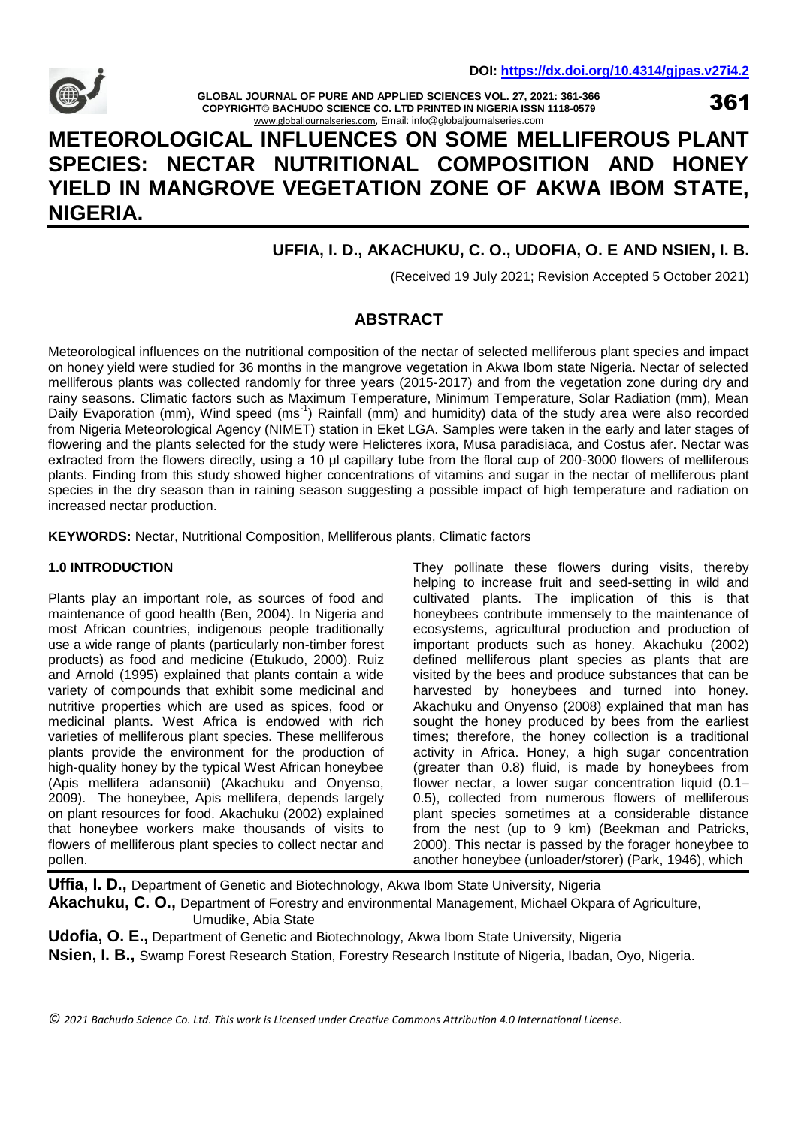

**GLOBAL JOURNAL OF PURE AND APPLIED SCIENCES VOL. 27, 2021: 361-366 COPYRIGHT© BACHUDO SCIENCE CO. LTD PRINTED IN NIGERIA ISSN 1118-0579** [www.globaljournalseries.com](http://www.globaljournalseries.com/), Email: info@globaljournalseries.com

361

# **METEOROLOGICAL INFLUENCES ON SOME MELLIFEROUS PLANT SPECIES: NECTAR NUTRITIONAL COMPOSITION AND HONEY YIELD IN MANGROVE VEGETATION ZONE OF AKWA IBOM STATE, NIGERIA.**

## **UFFIA, I. D., AKACHUKU, C. O., UDOFIA, O. E AND NSIEN, I. B.**

(Received 19 July 2021; Revision Accepted 5 October 2021)

### **ABSTRACT**

Meteorological influences on the nutritional composition of the nectar of selected melliferous plant species and impact on honey yield were studied for 36 months in the mangrove vegetation in Akwa Ibom state Nigeria. Nectar of selected melliferous plants was collected randomly for three years (2015-2017) and from the vegetation zone during dry and rainy seasons. Climatic factors such as Maximum Temperature, Minimum Temperature, Solar Radiation (mm), Mean Daily Evaporation (mm), Wind speed (ms<sup>-1</sup>) Rainfall (mm) and humidity) data of the study area were also recorded from Nigeria Meteorological Agency (NIMET) station in Eket LGA. Samples were taken in the early and later stages of flowering and the plants selected for the study were Helicteres ixora, Musa paradisiaca, and Costus afer. Nectar was extracted from the flowers directly, using a 10 μl capillary tube from the floral cup of 200-3000 flowers of melliferous plants. Finding from this study showed higher concentrations of vitamins and sugar in the nectar of melliferous plant species in the dry season than in raining season suggesting a possible impact of high temperature and radiation on increased nectar production.

**KEYWORDS:** Nectar, Nutritional Composition, Melliferous plants, Climatic factors

#### **1.0 INTRODUCTION**

Plants play an important role, as sources of food and maintenance of good health (Ben, 2004). In Nigeria and most African countries, indigenous people traditionally use a wide range of plants (particularly non-timber forest products) as food and medicine (Etukudo, 2000). Ruiz and Arnold (1995) explained that plants contain a wide variety of compounds that exhibit some medicinal and nutritive properties which are used as spices, food or medicinal plants. West Africa is endowed with rich varieties of melliferous plant species. These melliferous plants provide the environment for the production of high-quality honey by the typical West African honeybee (Apis mellifera adansonii) (Akachuku and Onyenso, 2009). The honeybee, Apis mellifera, depends largely on plant resources for food. Akachuku (2002) explained that honeybee workers make thousands of visits to flowers of melliferous plant species to collect nectar and pollen.

They pollinate these flowers during visits, thereby helping to increase fruit and seed-setting in wild and cultivated plants. The implication of this is that honeybees contribute immensely to the maintenance of ecosystems, agricultural production and production of important products such as honey. Akachuku (2002) defined melliferous plant species as plants that are visited by the bees and produce substances that can be harvested by honeybees and turned into honey. Akachuku and Onyenso (2008) explained that man has sought the honey produced by bees from the earliest times; therefore, the honey collection is a traditional activity in Africa. Honey, a high sugar concentration (greater than 0.8) fluid, is made by honeybees from flower nectar, a lower sugar concentration liquid (0.1– 0.5), collected from numerous flowers of melliferous plant species sometimes at a considerable distance from the nest (up to 9 km) (Beekman and Patricks, 2000). This nectar is passed by the forager honeybee to another honeybee (unloader/storer) (Park, 1946), which

**Uffia, I. D.,** Department of Genetic and Biotechnology, Akwa Ibom State University, Nigeria **Akachuku, C. O.,** Department of Forestry and environmental Management, Michael Okpara of Agriculture, Umudike, Abia State

**Udofia, O. E.,** Department of Genetic and Biotechnology, Akwa Ibom State University, Nigeria **Nsien, I. B.,** Swamp Forest Research Station, Forestry Research Institute of Nigeria, Ibadan, Oyo, Nigeria.

*© 2021 Bachudo Science Co. Ltd. This work is Licensed under Creative Commons Attribution 4.0 International License.*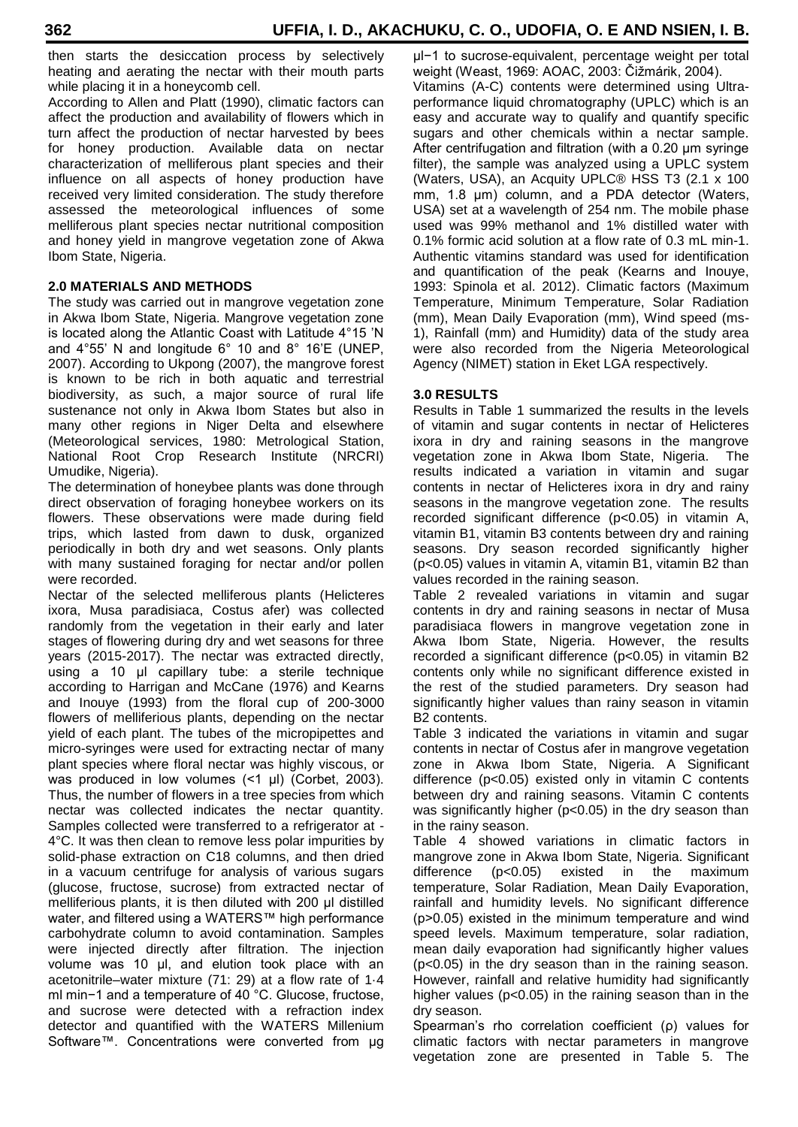then starts the desiccation process by selectively heating and aerating the nectar with their mouth parts while placing it in a honeycomb cell.

According to Allen and Platt (1990), climatic factors can affect the production and availability of flowers which in turn affect the production of nectar harvested by bees for honey production. Available data on nectar characterization of melliferous plant species and their influence on all aspects of honey production have received very limited consideration. The study therefore assessed the meteorological influences of some melliferous plant species nectar nutritional composition and honey yield in mangrove vegetation zone of Akwa Ibom State, Nigeria.

#### **2.0 MATERIALS AND METHODS**

The study was carried out in mangrove vegetation zone in Akwa Ibom State, Nigeria. Mangrove vegetation zone is located along the Atlantic Coast with Latitude 4°15 'N and 4°55' N and longitude 6° 10 and 8° 16'E (UNEP, 2007). According to Ukpong (2007), the mangrove forest is known to be rich in both aquatic and terrestrial biodiversity, as such, a major source of rural life sustenance not only in Akwa Ibom States but also in many other regions in Niger Delta and elsewhere (Meteorological services, 1980: Metrological Station, National Root Crop Research Institute (NRCRI) Umudike, Nigeria).

The determination of honeybee plants was done through direct observation of foraging honeybee workers on its flowers. These observations were made during field trips, which lasted from dawn to dusk, organized periodically in both dry and wet seasons. Only plants with many sustained foraging for nectar and/or pollen were recorded.

Nectar of the selected melliferous plants (Helicteres ixora, Musa paradisiaca, Costus afer) was collected randomly from the vegetation in their early and later stages of flowering during dry and wet seasons for three years (2015-2017). The nectar was extracted directly, using a 10 μl capillary tube: a sterile technique according to Harrigan and McCane (1976) and Kearns and Inouye (1993) from the floral cup of 200-3000 flowers of melliferious plants, depending on the nectar yield of each plant. The tubes of the micropipettes and micro-syringes were used for extracting nectar of many plant species where floral nectar was highly viscous, or was produced in low volumes (<1 μl) (Corbet, 2003). Thus, the number of flowers in a tree species from which nectar was collected indicates the nectar quantity. Samples collected were transferred to a refrigerator at - 4°C. It was then clean to remove less polar impurities by solid-phase extraction on C18 columns, and then dried in a vacuum centrifuge for analysis of various sugars (glucose, fructose, sucrose) from extracted nectar of melliferious plants, it is then diluted with 200 μl distilled water, and filtered using a WATERS™ high performance carbohydrate column to avoid contamination. Samples were injected directly after filtration. The injection volume was 10 μl, and elution took place with an acetonitrile–water mixture (71: 29) at a flow rate of 1·4 ml min−1 and a temperature of 40 °C. Glucose, fructose, and sucrose were detected with a refraction index detector and quantified with the WATERS Millenium Software™. Concentrations were converted from µg

μl−1 to sucrose-equivalent, percentage weight per total weight (Weast, 1969: AOAC, 2003: Čižmárik, 2004). Vitamins (A-C) contents were determined using Ultraperformance liquid chromatography (UPLC) which is an easy and accurate way to qualify and quantify specific sugars and other chemicals within a nectar sample. After centrifugation and filtration (with a 0.20 μm syringe filter), the sample was analyzed using a UPLC system (Waters, USA), an Acquity UPLC® HSS T3 (2.1 x 100 mm, 1.8 μm) column, and a PDA detector (Waters, USA) set at a wavelength of 254 nm. The mobile phase used was 99% methanol and 1% distilled water with 0.1% formic acid solution at a flow rate of 0.3 mL min-1. Authentic vitamins standard was used for identification and quantification of the peak (Kearns and Inouye, 1993: Spinola et al. 2012). Climatic factors (Maximum Temperature, Minimum Temperature, Solar Radiation (mm), Mean Daily Evaporation (mm), Wind speed (ms-1), Rainfall (mm) and Humidity) data of the study area were also recorded from the Nigeria Meteorological Agency (NIMET) station in Eket LGA respectively.

#### **3.0 RESULTS**

Results in Table 1 summarized the results in the levels of vitamin and sugar contents in nectar of Helicteres ixora in dry and raining seasons in the mangrove vegetation zone in Akwa Ibom State, Nigeria. The results indicated a variation in vitamin and sugar contents in nectar of Helicteres ixora in dry and rainy seasons in the mangrove vegetation zone. The results recorded significant difference (p<0.05) in vitamin A, vitamin B1, vitamin B3 contents between dry and raining seasons. Dry season recorded significantly higher (p<0.05) values in vitamin A, vitamin B1, vitamin B2 than values recorded in the raining season.

Table 2 revealed variations in vitamin and sugar contents in dry and raining seasons in nectar of Musa paradisiaca flowers in mangrove vegetation zone in Akwa Ibom State, Nigeria. However, the results recorded a significant difference (p<0.05) in vitamin B2 contents only while no significant difference existed in the rest of the studied parameters. Dry season had significantly higher values than rainy season in vitamin B2 contents.

Table 3 indicated the variations in vitamin and sugar contents in nectar of Costus afer in mangrove vegetation zone in Akwa Ibom State, Nigeria. A Significant difference (p<0.05) existed only in vitamin C contents between dry and raining seasons. Vitamin C contents was significantly higher (p<0.05) in the dry season than in the rainy season.

Table 4 showed variations in climatic factors in mangrove zone in Akwa Ibom State, Nigeria. Significant difference (p<0.05) existed in the maximum temperature, Solar Radiation, Mean Daily Evaporation, rainfall and humidity levels. No significant difference (p˃0.05) existed in the minimum temperature and wind speed levels. Maximum temperature, solar radiation, mean daily evaporation had significantly higher values (p<0.05) in the dry season than in the raining season. However, rainfall and relative humidity had significantly higher values (p<0.05) in the raining season than in the dry season.

Spearman's rho correlation coefficient (ρ) values for climatic factors with nectar parameters in mangrove vegetation zone are presented in Table 5. The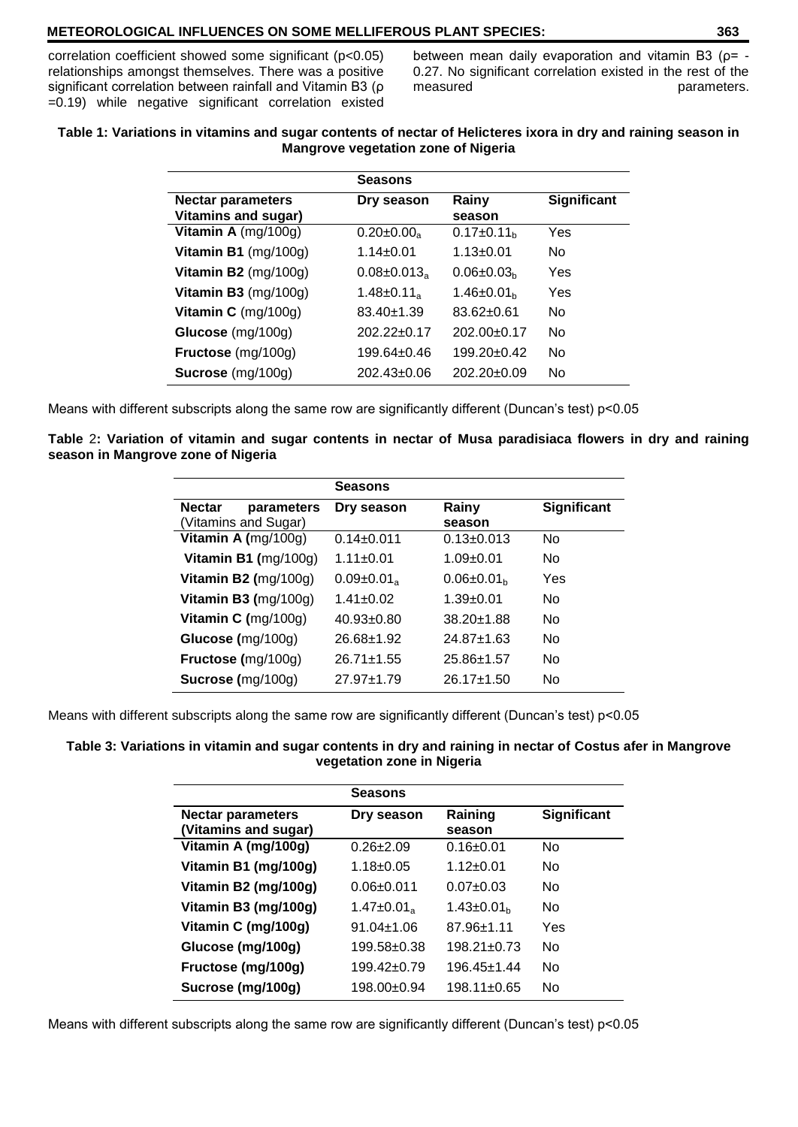#### **METEOROLOGICAL INFLUENCES ON SOME MELLIFEROUS PLANT SPECIES: 363**

correlation coefficient showed some significant (p<0.05) relationships amongst themselves. There was a positive significant correlation between rainfall and Vitamin B3 (ρ =0.19) while negative significant correlation existed between mean daily evaporation and vitamin B3 (ρ= -0.27. No significant correlation existed in the rest of the measured parameters.

#### **Table 1: Variations in vitamins and sugar contents of nectar of Helicteres ixora in dry and raining season in Mangrove vegetation zone of Nigeria**

|                               | <b>Seasons</b>                |                   |                    |
|-------------------------------|-------------------------------|-------------------|--------------------|
| <b>Nectar parameters</b>      | Dry season                    | Rainy             | <b>Significant</b> |
| <b>Vitamins and sugar)</b>    |                               | season            |                    |
| Vitamin A $(mg/100g)$         | $0.20 \pm 0.00$ <sub>a</sub>  | $0.17 \pm 0.11_h$ | Yes                |
| Vitamin B1 $(mg/100g)$        | $1.14 \pm 0.01$               | $1.13 \pm 0.01$   | No.                |
| Vitamin B2 (mg/100g)          | $0.08 \pm 0.013$ <sub>a</sub> | $0.06 \pm 0.03_h$ | Yes                |
| Vitamin B3 (mg/100g)          | 1.48 $\pm$ 0.11 <sub>a</sub>  | $1.46 \pm 0.01_h$ | Yes                |
| Vitamin $C \text{ (mg/100g)}$ | $83.40 + 1.39$                | $83.62 + 0.61$    | No                 |
| Glucose (mg/100g)             | $202.22 \pm 0.17$             | $202.00+0.17$     | No.                |
| Fructose (mg/100g)            | $199.64 \pm 0.46$             | $199.20 \pm 0.42$ | No.                |
| Sucrose (mg/100g)             | $202.43 \pm 0.06$             | $202.20 \pm 0.09$ | No                 |

Means with different subscripts along the same row are significantly different (Duncan's test) p<0.05

**Table** 2**: Variation of vitamin and sugar contents in nectar of Musa paradisiaca flowers in dry and raining season in Mangrove zone of Nigeria**

|               |                        | <b>Seasons</b>               |                   |                    |
|---------------|------------------------|------------------------------|-------------------|--------------------|
| <b>Nectar</b> | parameters             | Dry season                   | Rainy             | <b>Significant</b> |
|               | Vitamins and Sugar)    |                              | season            |                    |
|               | Vitamin A (mg/100g)    | $0.14 \pm 0.011$             | $0.13 \pm 0.013$  | No                 |
|               | Vitamin B1 $(mg/100g)$ | $1.11 + 0.01$                | $1.09 + 0.01$     | No                 |
|               | Vitamin B2 $(mg/100g)$ | $0.09 \pm 0.01$ <sub>a</sub> | $0.06 \pm 0.01 h$ | Yes                |
|               | Vitamin B3 $(mg/100g)$ | $1.41 + 0.02$                | $1.39 + 0.01$     | No                 |
|               | Vitamin C $(mg/100g)$  | $40.93 + 0.80$               | $38.20 + 1.88$    | No                 |
|               | Glucose (mg/100g)      | $26.68 + 1.92$               | $24.87 + 1.63$    | No                 |
|               | Fructose (mg/100g)     | $26.71 + 1.55$               | $25.86 \pm 1.57$  | No                 |
|               | Sucrose (mg/100g)      | $27.97 \pm 1.79$             | $26.17 + 1.50$    | No                 |
|               |                        |                              |                   |                    |

Means with different subscripts along the same row are significantly different (Duncan's test) p<0.05

#### **Table 3: Variations in vitamin and sugar contents in dry and raining in nectar of Costus afer in Mangrove vegetation zone in Nigeria**

|                                                  | <b>Seasons</b>  |                   |                    |
|--------------------------------------------------|-----------------|-------------------|--------------------|
| <b>Nectar parameters</b><br>(Vitamins and sugar) | Dry season      | Raining<br>season | <b>Significant</b> |
| Vitamin A (mg/100g)                              | $0.26 + 2.09$   | $0.16 \pm 0.01$   | No                 |
| Vitamin B1 (mg/100g)                             | $1.18 + 0.05$   | $1.12 + 0.01$     | No                 |
| Vitamin B2 (mg/100g)                             | $0.06 + 0.011$  | $0.07 + 0.03$     | No.                |
| Vitamin B3 (mg/100g)                             | $1.47 \pm 0.01$ | $1.43 \pm 0.01_h$ | No                 |
| Vitamin C (mg/100g)                              | $91.04 + 1.06$  | $87.96 + 1.11$    | Yes                |
| Glucose (mg/100g)                                | $199.58 + 0.38$ | $198.21 \pm 0.73$ | No                 |
| Fructose (mg/100g)                               | $199.42 + 0.79$ | 196.45+1.44       | Nο                 |
| Sucrose (mg/100g)                                | $198.00+0.94$   | $198.11 \pm 0.65$ | No                 |

Means with different subscripts along the same row are significantly different (Duncan's test) p<0.05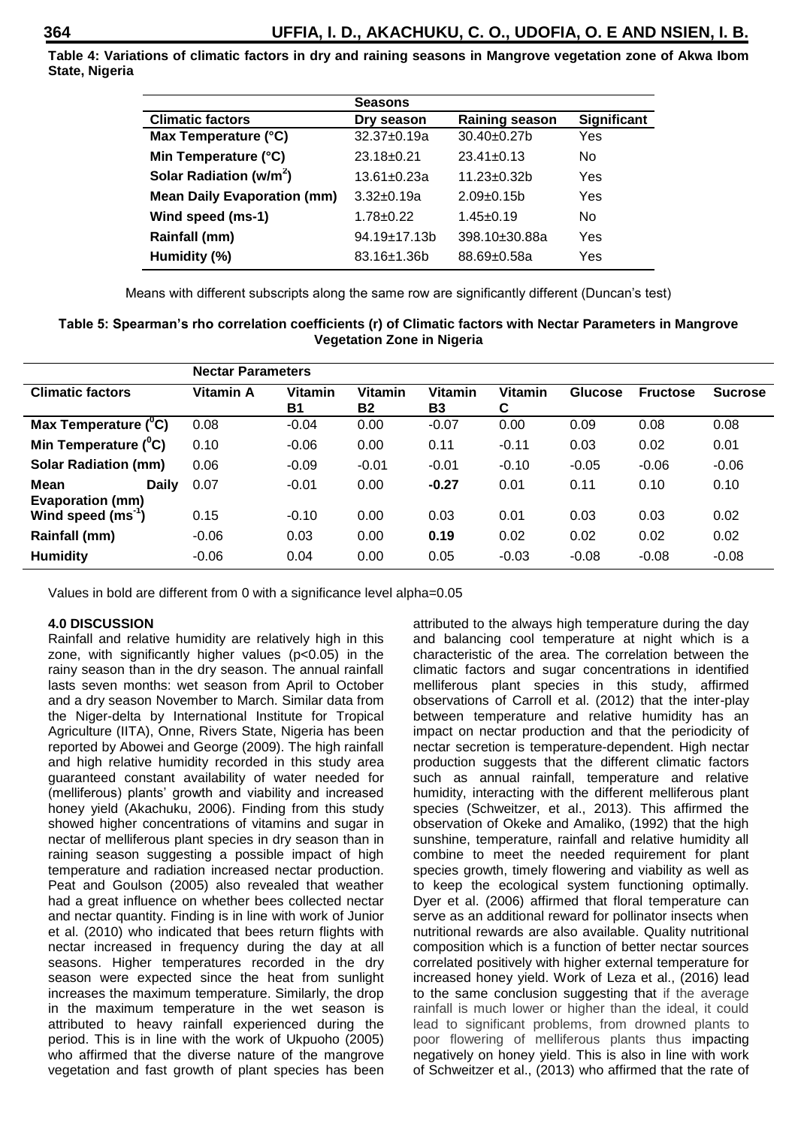**Table 4: Variations of climatic factors in dry and raining seasons in Mangrove vegetation zone of Akwa Ibom State, Nigeria**

|                                     | <b>Seasons</b>      |                       |             |
|-------------------------------------|---------------------|-----------------------|-------------|
| <b>Climatic factors</b>             | Dry season          | <b>Raining season</b> | Significant |
| Max Temperature (°C)                | 32.37±0.19a         | 30.40±0.27b           | Yes         |
| Min Temperature (°C)                | $23.18 + 0.21$      | $23.41 \pm 0.13$      | No.         |
| Solar Radiation (w/m <sup>2</sup> ) | $13.61 + 0.23a$     | $11.23 \pm 0.32 b$    | Yes         |
| <b>Mean Daily Evaporation (mm)</b>  | $3.32 \pm 0.19a$    | $2.09+0.15b$          | Yes         |
| Wind speed (ms-1)                   | $1.78 + 0.22$       | $1.45 \pm 0.19$       | No          |
| Rainfall (mm)                       | $94.19 \pm 17.13 b$ | 398.10±30.88a         | Yes         |
| Humidity (%)                        | $83.16 \pm 1.36 b$  | 88.69±0.58a           | Yes         |

Means with different subscripts along the same row are significantly different (Duncan's test)

| Table 5: Spearman's rho correlation coefficients (r) of Climatic factors with Nectar Parameters in Mangrove |
|-------------------------------------------------------------------------------------------------------------|
| <b>Vegetation Zone in Nigeria</b>                                                                           |

|                                                 | <b>Nectar Parameters</b> |                             |                      |                      |                     |                |                 |                |
|-------------------------------------------------|--------------------------|-----------------------------|----------------------|----------------------|---------------------|----------------|-----------------|----------------|
| <b>Climatic factors</b>                         | Vitamin A                | <b>Vitamin</b><br><b>B1</b> | Vitamin<br><b>B2</b> | Vitamin<br><b>B3</b> | <b>Vitamin</b><br>C | <b>Glucose</b> | <b>Fructose</b> | <b>Sucrose</b> |
| Max Temperature $(^{0}C)$                       | 0.08                     | $-0.04$                     | 0.00                 | $-0.07$              | 0.00                | 0.09           | 0.08            | 0.08           |
| Min Temperature $(^0C)$                         | 0.10                     | $-0.06$                     | 0.00                 | 0.11                 | $-0.11$             | 0.03           | 0.02            | 0.01           |
| <b>Solar Radiation (mm)</b>                     | 0.06                     | $-0.09$                     | $-0.01$              | $-0.01$              | $-0.10$             | $-0.05$        | $-0.06$         | $-0.06$        |
| Mean<br><b>Daily</b><br><b>Evaporation (mm)</b> | 0.07                     | $-0.01$                     | 0.00                 | $-0.27$              | 0.01                | 0.11           | 0.10            | 0.10           |
| Wind speed (ms <sup>-1</sup> )                  | 0.15                     | $-0.10$                     | 0.00                 | 0.03                 | 0.01                | 0.03           | 0.03            | 0.02           |
| Rainfall (mm)                                   | $-0.06$                  | 0.03                        | 0.00                 | 0.19                 | 0.02                | 0.02           | 0.02            | 0.02           |
| <b>Humidity</b>                                 | $-0.06$                  | 0.04                        | 0.00                 | 0.05                 | $-0.03$             | $-0.08$        | $-0.08$         | $-0.08$        |

Values in bold are different from 0 with a significance level alpha=0.05

#### **4.0 DISCUSSION**

Rainfall and relative humidity are relatively high in this zone, with significantly higher values (p<0.05) in the rainy season than in the dry season. The annual rainfall lasts seven months: wet season from April to October and a dry season November to March. Similar data from the Niger-delta by International Institute for Tropical Agriculture (IITA), Onne, Rivers State, Nigeria has been reported by Abowei and George (2009). The high rainfall and high relative humidity recorded in this study area guaranteed constant availability of water needed for (melliferous) plants' growth and viability and increased honey yield (Akachuku, 2006). Finding from this study showed higher concentrations of vitamins and sugar in nectar of melliferous plant species in dry season than in raining season suggesting a possible impact of high temperature and radiation increased nectar production. Peat and Goulson (2005) also revealed that weather had a great influence on whether bees collected nectar and nectar quantity. Finding is in line with work of Junior et al. (2010) who indicated that bees return flights with nectar increased in frequency during the day at all seasons. Higher temperatures recorded in the dry season were expected since the heat from sunlight increases the maximum temperature. Similarly, the drop in the maximum temperature in the wet season is attributed to heavy rainfall experienced during the period. This is in line with the work of Ukpuoho (2005) who affirmed that the diverse nature of the mangrove vegetation and fast growth of plant species has been

attributed to the always high temperature during the day and balancing cool temperature at night which is a characteristic of the area. The correlation between the climatic factors and sugar concentrations in identified melliferous plant species in this study, affirmed observations of Carroll et al. (2012) that the inter-play between temperature and relative humidity has an impact on nectar production and that the periodicity of nectar secretion is temperature-dependent. High nectar production suggests that the different climatic factors such as annual rainfall, temperature and relative humidity, interacting with the different melliferous plant species (Schweitzer, et al., 2013). This affirmed the observation of Okeke and Amaliko, (1992) that the high sunshine, temperature, rainfall and relative humidity all combine to meet the needed requirement for plant species growth, timely flowering and viability as well as to keep the ecological system functioning optimally. Dyer et al. (2006) affirmed that floral temperature can serve as an additional reward for pollinator insects when nutritional rewards are also available. Quality nutritional composition which is a function of better nectar sources correlated positively with higher external temperature for increased honey yield. Work of Leza et al., (2016) lead to the same conclusion suggesting that if the average rainfall is much lower or higher than the ideal, it could lead to significant problems, from drowned plants to poor flowering of melliferous plants thus impacting negatively on honey yield. This is also in line with work of Schweitzer et al., (2013) who affirmed that the rate of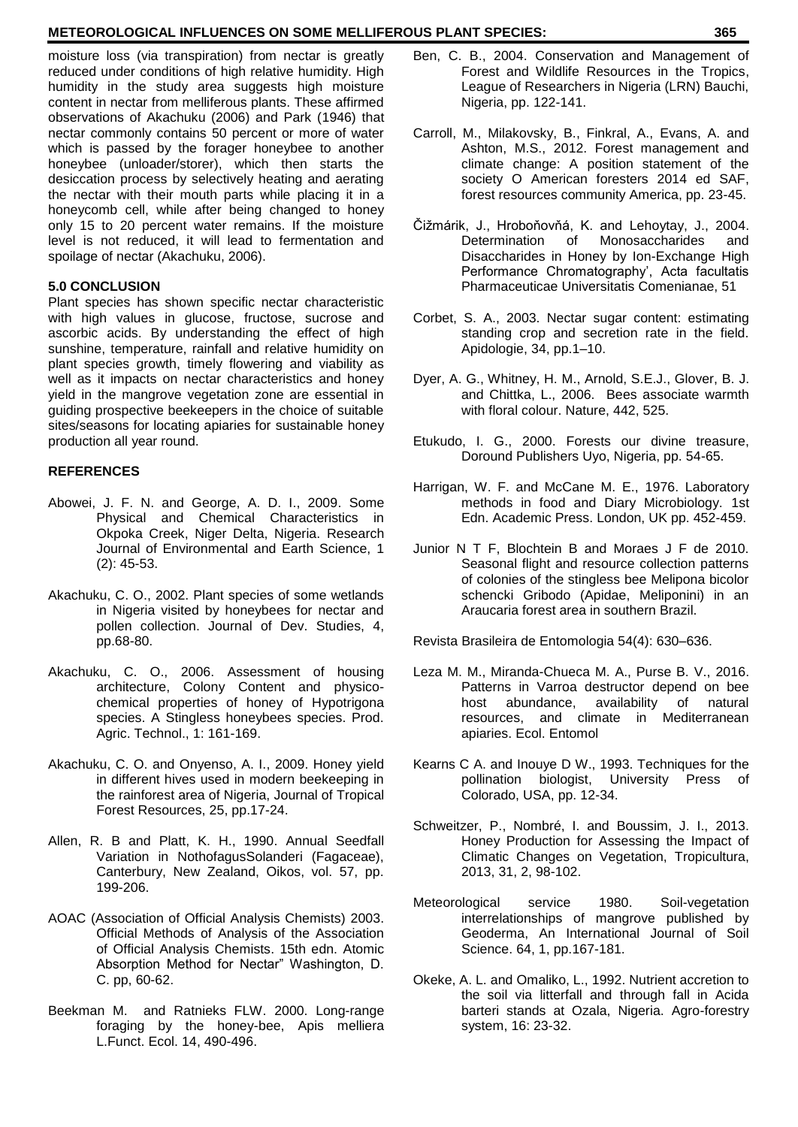#### **METEOROLOGICAL INFLUENCES ON SOME MELLIFEROUS PLANT SPECIES: 365**

moisture loss (via transpiration) from nectar is greatly reduced under conditions of high relative humidity. High humidity in the study area suggests high moisture content in nectar from melliferous plants. These affirmed observations of Akachuku (2006) and Park (1946) that nectar commonly contains 50 percent or more of water which is passed by the forager honeybee to another honeybee (unloader/storer), which then starts the desiccation process by selectively heating and aerating the nectar with their mouth parts while placing it in a honeycomb cell, while after being changed to honey only 15 to 20 percent water remains. If the moisture level is not reduced, it will lead to fermentation and spoilage of nectar (Akachuku, 2006).

#### **5.0 CONCLUSION**

Plant species has shown specific nectar characteristic with high values in glucose, fructose, sucrose and ascorbic acids. By understanding the effect of high sunshine, temperature, rainfall and relative humidity on plant species growth, timely flowering and viability as well as it impacts on nectar characteristics and honey yield in the mangrove vegetation zone are essential in guiding prospective beekeepers in the choice of suitable sites/seasons for locating apiaries for sustainable honey production all year round.

#### **REFERENCES**

- Abowei, J. F. N. and George, A. D. I., 2009. Some Physical and Chemical Characteristics in Okpoka Creek, Niger Delta, Nigeria. Research Journal of Environmental and Earth Science, 1 (2): 45-53.
- Akachuku, C. O., 2002. Plant species of some wetlands in Nigeria visited by honeybees for nectar and pollen collection. Journal of Dev. Studies, 4, pp.68-80.
- Akachuku, C. O., 2006. Assessment of housing architecture, Colony Content and physicochemical properties of honey of Hypotrigona species. A Stingless honeybees species. Prod. Agric. Technol., 1: 161-169.
- Akachuku, C. O. and Onyenso, A. I., 2009. Honey yield in different hives used in modern beekeeping in the rainforest area of Nigeria, Journal of Tropical Forest Resources, 25, pp.17-24.
- Allen, R. B and Platt, K. H., 1990. Annual Seedfall Variation in NothofagusSolanderi (Fagaceae), Canterbury, New Zealand, Oikos, vol. 57, pp. 199-206.
- AOAC (Association of Official Analysis Chemists) 2003. Official Methods of Analysis of the Association of Official Analysis Chemists. 15th edn. Atomic Absorption Method for Nectar" Washington, D. C. pp, 60-62.
- Beekman M. and Ratnieks FLW. 2000. Long-range foraging by the honey-bee, Apis melliera L.Funct. Ecol. 14, 490-496.
- Ben, C. B., 2004. Conservation and Management of Forest and Wildlife Resources in the Tropics, League of Researchers in Nigeria (LRN) Bauchi, Nigeria, pp. 122-141.
- Carroll, M., Milakovsky, B., Finkral, A., Evans, A. and Ashton, M.S., 2012. Forest management and climate change: A position statement of the society O American foresters 2014 ed SAF, forest resources community America, pp. 23-45.
- Čižmárik, J., Hroboňovňá, K. and Lehoytay, J., 2004. Determination of Monosaccharides and Disaccharides in Honey by Ion-Exchange High Performance Chromatography', Acta facultatis Pharmaceuticae Universitatis Comenianae, 51
- Corbet, S. A., 2003. Nectar sugar content: estimating standing crop and secretion rate in the field. Apidologie, 34, pp.1–10.
- Dyer, A. G., Whitney, H. M., Arnold, S.E.J., Glover, B. J. and Chittka, L., 2006. Bees associate warmth with floral colour. Nature, 442, 525.
- Etukudo, I. G., 2000. Forests our divine treasure, Doround Publishers Uyo, Nigeria, pp. 54-65.
- Harrigan, W. F. and McCane M. E., 1976. Laboratory methods in food and Diary Microbiology. 1st Edn. Academic Press. London, UK pp. 452-459.
- Junior N T F, Blochtein B and Moraes J F de 2010. Seasonal flight and resource collection patterns of colonies of the stingless bee Melipona bicolor schencki Gribodo (Apidae, Meliponini) in an Araucaria forest area in southern Brazil.

Revista Brasileira de Entomologia 54(4): 630–636.

- Leza M. M., Miranda-Chueca M. A., Purse B. V., 2016. Patterns in Varroa destructor depend on bee<br>host abundance, availability of natural host abundance, availability of natural resources, and climate in Mediterranean apiaries. Ecol. Entomol
- Kearns C A. and Inouye D W., 1993. Techniques for the pollination biologist, University Press of Colorado, USA, pp. 12-34.
- Schweitzer, P., Nombré, I. and Boussim, J. I., 2013. Honey Production for Assessing the Impact of Climatic Changes on Vegetation, Tropicultura, 2013, 31, 2, 98-102.
- Meteorological service 1980. Soil-vegetation interrelationships of mangrove published by Geoderma, An International Journal of Soil Science. 64, 1, pp.167-181.
- Okeke, A. L. and Omaliko, L., 1992. Nutrient accretion to the soil via litterfall and through fall in Acida barteri stands at Ozala, Nigeria. Agro-forestry system, 16: 23-32.